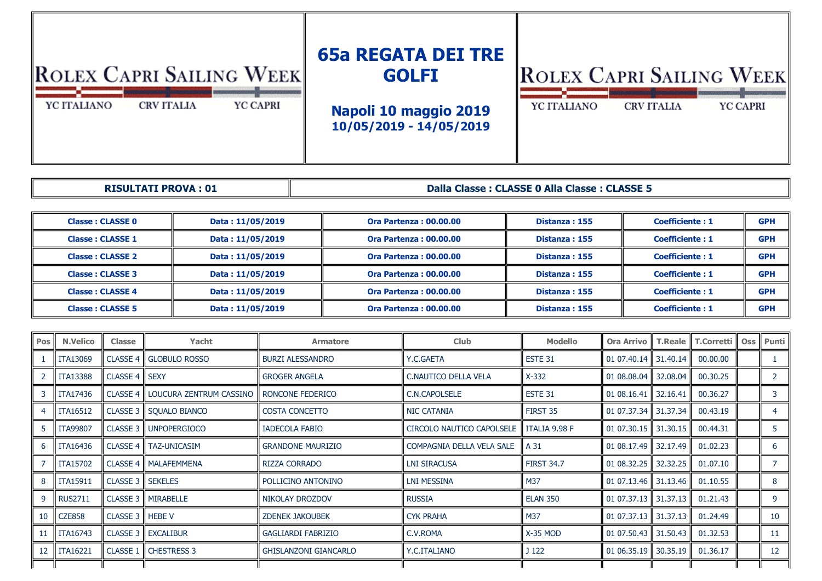## **65a REGATA DEI TRE**  ROLEX CAPRI SAILING WEEK **ROLEX CAPRI SAILING WEEK GOLFI** YC ITALIANO **CRV ITALIA** YC CAPRI YC ITALIANO **CRV ITALIA** YC CAPRI **Napoli 10 maggio 2019 10/05/2019 - 14/05/2019**

**RISULTATI PROVA : 01**

**Dalla Classe : CLASSE 0 Alla Classe : CLASSE 5**

| <b>Classe: CLASSE 0</b> | Data: 11/05/2019 | <b>Ora Partenza: 00.00.00</b>                  | Distanza: 155 | <b>Coefficiente: 1</b> | <b>GPH</b> |
|-------------------------|------------------|------------------------------------------------|---------------|------------------------|------------|
| <b>Classe: CLASSE 1</b> | Data: 11/05/2019 | <b>Ora Partenza: 00.00.00</b>                  | Distanza: 155 | <b>Coefficiente: 1</b> |            |
| <b>Classe: CLASSE 2</b> | Data: 11/05/2019 | Distanza: 155<br><b>Ora Partenza: 00.00.00</b> |               | <b>Coefficiente: 1</b> | <b>GPH</b> |
| <b>Classe: CLASSE 3</b> | Data: 11/05/2019 | <b>Ora Partenza: 00.00.00</b>                  | Distanza: 155 | <b>Coefficiente: 1</b> | <b>GPH</b> |
| <b>Classe: CLASSE 4</b> | Data: 11/05/2019 | <b>Ora Partenza: 00.00.00</b>                  | Distanza: 155 | <b>Coefficiente: 1</b> | <b>GPH</b> |
| <b>Classe: CLASSE 5</b> | Data: 11/05/2019 | <b>Ora Partenza: 00.00.00</b>                  | Distanza: 155 | <b>Coefficiente: 1</b> | <b>GPH</b> |

| <b>Pos</b>      | <b>N.Velico</b> | Classe                     | Yacht                                                 | <b>Armatore</b>              | <b>Club</b>               | <b>Modello</b>    | <b>Ora Arrivo</b>                            |          | <b>T.Reale   T.Corretti   Oss</b> | Punti             |
|-----------------|-----------------|----------------------------|-------------------------------------------------------|------------------------------|---------------------------|-------------------|----------------------------------------------|----------|-----------------------------------|-------------------|
|                 | ITA13069        |                            | <b>CLASSE 4   GLOBULO ROSSO</b>                       | <b>BURZI ALESSANDRO</b>      | Y.C.GAETA                 | ESTE 31           | 01 07.40.14 $\parallel$ 31.40.14 $\parallel$ |          | 00.00.00                          |                   |
| 2               | <b>ITA13388</b> | <b>CLASSE 4   SEXY</b>     |                                                       | <b>GROGER ANGELA</b>         | C.NAUTICO DELLA VELA      | $X-332$           | 01 08,08,04 $\parallel$                      | 32.08.04 | 00.30.25                          | 2                 |
|                 | ITA17436        |                            | CLASSE 4   LOUCURA ZENTRUM CASSINO   RONCONE FEDERICO |                              | C.N.CAPOLSELE             | ESTE 31           | 01 08.16.41                                  | 32.16.41 | 00.36.27                          | 3                 |
|                 | <b>ITA16512</b> |                            | <b>CLASSE 3    SQUALO BIANCO</b>                      | <b>COSTA CONCETTO</b>        | <b>NIC CATANIA</b>        | FIRST 35          | 01 07.37.34   31.37.34                       |          | 00.43.19                          |                   |
|                 | <b>ITA99807</b> | CLASSE 3                   | <b>UNPOPERGIOCO</b>                                   | IADECOLA FABIO               | CIRCOLO NAUTICO CAPOLSELE | I ITALIA 9.98 F   | 01 07.30.15   31.30.15                       |          | 00.44.31                          |                   |
| 6.              | ITA16436        |                            | <b>CLASSE 4   TAZ-UNICASIM</b>                        | <b>GRANDONE MAURIZIO</b>     | COMPAGNIA DELLA VELA SALE | l A 31            | 01 08.17.49 $\parallel$ 32.17.49             |          | 01.02.23                          | 6                 |
|                 | <b>ITA15702</b> |                            | CLASSE 4   MALAFEMMENA                                | <b>RIZZA CORRADO</b>         | <b>LNI SIRACUSA</b>       | <b>FIRST 34.7</b> | 0108.32.25                                   | 32.32.25 | 01.07.10                          |                   |
| 8               | <b>ITA15911</b> | <b>CLASSE 3    SEKELES</b> |                                                       | POLLICINO ANTONINO           | <b>LNI MESSINA</b>        | M37               | 01 07.13.46   31.13.46                       |          | 01.10.55                          | 8                 |
| 9               | <b>RUS2711</b>  |                            | <b>CLASSE 3    MIRABELLE</b>                          | NIKOLAY DROZDOV              | <b>RUSSIA</b>             | <b>ELAN 350</b>   | $0107.37.13$ 31.37.13                        |          | 01.21.43                          | 9                 |
| 10              | <b>CZE858</b>   | CLASSE 3   HEBE V          |                                                       | <b>ZDENEK JAKOUBEK</b>       | <b>CYK PRAHA</b>          | M37               | 01 07.37.13 $\parallel$ 31.37.13 $\parallel$ |          | 01.24.49                          | 10                |
| 11              | <b>ITA16743</b> |                            | <b>CLASSE 3   EXCALIBUR</b>                           | <b>GAGLIARDI FABRIZIO</b>    | C.V.ROMA                  | $X-35$ MOD        | 01 07.50.43                                  | 31.50.43 | 01.32.53                          | 11                |
| 12 <sup>7</sup> | <b>ITA16221</b> |                            | CLASSE 1   CHESTRESS 3                                | <b>GHISLANZONI GIANCARLO</b> | Y.C.ITALIANO              | J <sub>122</sub>  | 01 06.35.19 $\parallel$ 30.35.19             |          | 01.36.17                          | $12 \overline{ }$ |
|                 |                 |                            |                                                       |                              |                           |                   |                                              |          |                                   |                   |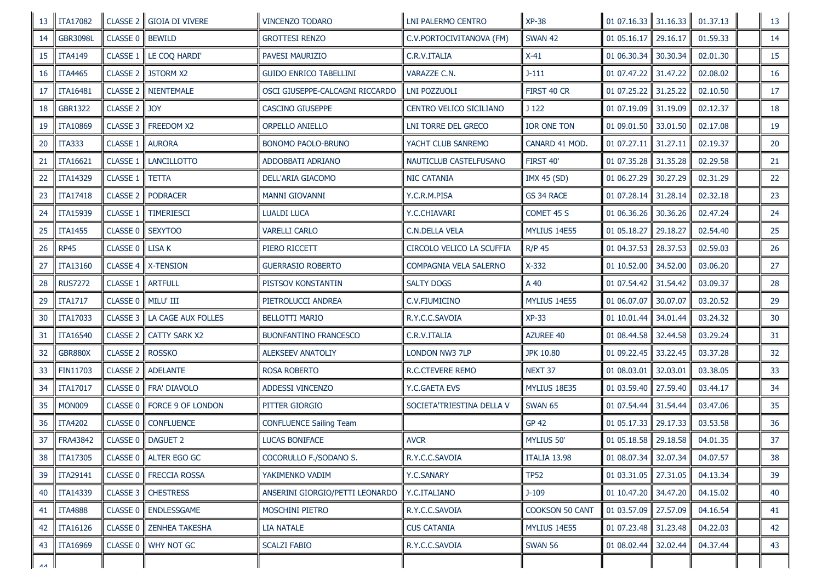| 13 | <b>ITA17082</b> |                     | CLASSE 2 GIOIA DI VIVERE | <b>VINCENZO TODARO</b>          | <b>LNI PALERMO CENTRO</b>  | <b>XP-38</b>           | 0107.16.33           | 31.16.33 | 01.37.13 | 13              |
|----|-----------------|---------------------|--------------------------|---------------------------------|----------------------------|------------------------|----------------------|----------|----------|-----------------|
| 14 | <b>GBR3098L</b> | CLASSE 0            | <b>BEWILD</b>            | <b>GROTTESI RENZO</b>           | C.V.PORTOCIVITANOVA (FM)   | <b>SWAN 42</b>         | 01 05.16.17          | 29.16.17 | 01.59.33 | 14              |
| 15 | <b>ITA4149</b>  | CLASSE 1            | LE COQ HARDI'            | PAVESI MAURIZIO                 | C.R.V.ITALIA               | $X-41$                 | 01 06.30.34          | 30.30.34 | 02.01.30 | 15              |
| 16 | <b>ITA4465</b>  | <b>CLASSE 2</b>     | <b>JSTORM X2</b>         | <b>GUIDO ENRICO TABELLINI</b>   | VARAZZE C.N.               | $J-111$                | 01 07.47.22          | 31.47.22 | 02.08.02 | 16              |
| 17 | ITA16481        | CLASSE <sub>2</sub> | <b>NIENTEMALE</b>        | OSCI GIUSEPPE-CALCAGNI RICCARDO | LNI POZZUOLI               | FIRST 40 CR            | 01 07.25.22          | 31.25.22 | 02.10.50 | 17              |
| 18 | <b>GBR1322</b>  | CLASSE <sub>2</sub> | <b>JOY</b>               | CASCINO GIUSEPPE                | CENTRO VELICO SICILIANO    | J <sub>122</sub>       | 01 07.19.09          | 31.19.09 | 02.12.37 | 18              |
| 19 | <b>ITA10869</b> | CLASSE 3            | FREEDOM X2               | ORPELLO ANIELLO                 | <b>LNI TORRE DEL GRECO</b> | IOR ONE TON            | 01 09.01.50          | 33.01.50 | 02.17.08 | 19              |
| 20 | <b>ITA333</b>   | CLASSE 1            | <b>AURORA</b>            | <b>BONOMO PAOLO-BRUNO</b>       | YACHT CLUB SANREMO         | CANARD 41 MOD.         | 01 07.27.11          | 31.27.11 | 02.19.37 | 20              |
| 21 | ITA16621        | CLASSE 1            | <b>LANCILLOTTO</b>       | ADDOBBATI ADRIANO               | NAUTICLUB CASTELFUSANO     | FIRST 40'              | 01 07:35.28          | 31.35.28 | 02.29.58 | 21              |
| 22 | <b>ITA14329</b> | CLASSE 1            | <b>TETTA</b>             | DELL'ARIA GIACOMO               | <b>NIC CATANIA</b>         | <b>IMX 45 (SD)</b>     | 01 06.27.29          | 30.27.29 | 02.31.29 | 22              |
| 23 | <b>ITA17418</b> | <b>CLASSE 2</b>     | <b>PODRACER</b>          | MANNI GIOVANNI                  | Y.C.R.M.PISA               | GS 34 RACE             | 01 07.28.14          | 31.28.14 | 02.32.18 | 23              |
| 24 | ITA15939        | CLASSE 1            | <b>TIMERIESCI</b>        | <b>LUALDI LUCA</b>              | Y.C.CHIAVARI               | COMET 45 S             | 01 06.36.26          | 30.36.26 | 02.47.24 | 24              |
| 25 | <b>ITA1455</b>  | CLASSE 0            | <b>SEXYTOO</b>           | <b>VARELLI CARLO</b>            | <b>C.N.DELLA VELA</b>      | MYLIUS 14E55           | 01 05.18.27          | 29.18.27 | 02.54.40 | 25              |
| 26 | <b>RP45</b>     | CLASSE 0            | <b>LISAK</b>             | PIERO RICCETT                   | CIRCOLO VELICO LA SCUFFIA  | <b>R/P 45</b>          | 01 04.37.53          | 28.37.53 | 02.59.03 | 26              |
| 27 | <b>ITA13160</b> | CLASSE 4            | <b>X-TENSION</b>         | <b>GUERRASIO ROBERTO</b>        | COMPAGNIA VELA SALERNO     | $X-332$                | 01 10.52.00          | 34.52.00 | 03.06.20 | 27              |
| 28 | <b>RUS7272</b>  | CLASSE 1            | <b>ARTFULL</b>           | PISTSOV KONSTANTIN              | <b>SALTY DOGS</b>          | A 40                   | 01 07.54.42          | 31.54.42 | 03.09.37 | 28              |
| 29 | <b>ITA1717</b>  | <b>CLASSE 0</b>     | MILU' III                | PIETROLUCCI ANDREA              | C.V.FIUMICINO              | MYLIUS 14E55           | 01 06.07.07          | 30.07.07 | 03.20.52 | 29              |
| 30 | ITA17033        | <b>CLASSE 3</b>     | LA CAGE AUX FOLLES       | <b>BELLOTTI MARIO</b>           | R.Y.C.C.SAVOIA             | $XP-33$                | 01 10.01.44          | 34.01.44 | 03.24.32 | 30 <sub>o</sub> |
| 31 | ITA16540        | <b>CLASSE 2</b>     | <b>CATTY SARK X2</b>     | <b>BUONFANTINO FRANCESCO</b>    | C.R.V.ITALIA               | AZUREE 40              | 01 08.44.58          | 32.44.58 | 03.29.24 | 31              |
| 32 | <b>GBR880X</b>  | <b>CLASSE 2</b>     | <b>ROSSKO</b>            | <b>ALEKSEEV ANATOLIY</b>        | <b>LONDON NW3 7LP</b>      | JPK 10.80              | 01 09.22.45          | 33.22.45 | 03.37.28 | 32              |
| 33 | FIN11703        |                     | CLASSE 2    ADELANTE     | <b>ROSA ROBERTO</b>             | R.C.CTEVERE REMO           | NEXT 37                | 01 08.03.01          | 32.03.01 | 03.38.05 | 33              |
| 34 | ITA17017        | CLASSE 0            | FRA' DIAVOLO             | ADDESSI VINCENZO                | Y.C.GAETA EVS              | MYLIUS 18E35           | 01 03.59.40          | 27.59.40 | 03.44.17 | 34              |
| 35 | <b>MON009</b>   | CLASSE 0            | FORCE 9 OF LONDON        | PITTER GIORGIO                  | SOCIETA'TRIESTINA DELLA V  | <b>SWAN 65</b>         | 01 07.54.44          | 31.54.44 | 03.47.06 | 35              |
| 36 | <b>ITA4202</b>  | CLASSE 0            | <b>CONFLUENCE</b>        | <b>CONFLUENCE Sailing Team</b>  |                            | <b>GP 42</b>           | 01 05.17.33          | 29.17.33 | 03.53.58 | 36              |
| 37 | FRA43842        |                     | CLASSE 0   DAGUET 2      | <b>LUCAS BONIFACE</b>           | <b>AVCR</b>                | MYLIUS 50'             | 01 05.18.58          | 29.18.58 | 04.01.35 | 37              |
| 38 | <b>ITA17305</b> |                     | CLASSE 0 ALTER EGO GC    | COCORULLO F./SODANO S.          | R.Y.C.C.SAVOIA             | ITALIA 13.98           | 0108.07.34           | 32.07.34 | 04.07.57 | 38              |
| 39 | <b>ITA29141</b> |                     | CLASSE 0   FRECCIA ROSSA | YAKIMENKO VADIM                 | Y.C.SANARY                 | <b>TP52</b>            | 01 03.31.05          | 27.31.05 | 04.13.34 | 39              |
| 40 | <b>ITA14339</b> |                     | CLASSE 3   CHESTRESS     | ANSERINI GIORGIO/PETTI LEONARDO | Y.C.ITALIANO               | $J-109$                | 0110.47.20           | 34.47.20 | 04.15.02 | 40              |
| 41 | <b>ITA4888</b>  |                     | CLASSE 0 ENDLESSGAME     | <b>MOSCHINI PIETRO</b>          | R.Y.C.C.SAVOIA             | <b>COOKSON 50 CANT</b> | 01 03.57.09          | 27.57.09 | 04.16.54 | 41              |
| 42 | <b>ITA16126</b> |                     | CLASSE 0 ZENHEA TAKESHA  | LIA NATALE                      | <b>CUS CATANIA</b>         | MYLIUS 14E55           | 01 07.23.48 31.23.48 |          | 04.22.03 | 42              |
| 43 | ITA16969        |                     | CLASSE 0 WHY NOT GC      | <b>SCALZI FABIO</b>             | R.Y.C.C.SAVOIA             | <b>SWAN 56</b>         | 01 08:02:44          | 32.02.44 | 04.37.44 | 43              |
| AA |                 |                     |                          |                                 |                            |                        |                      |          |          |                 |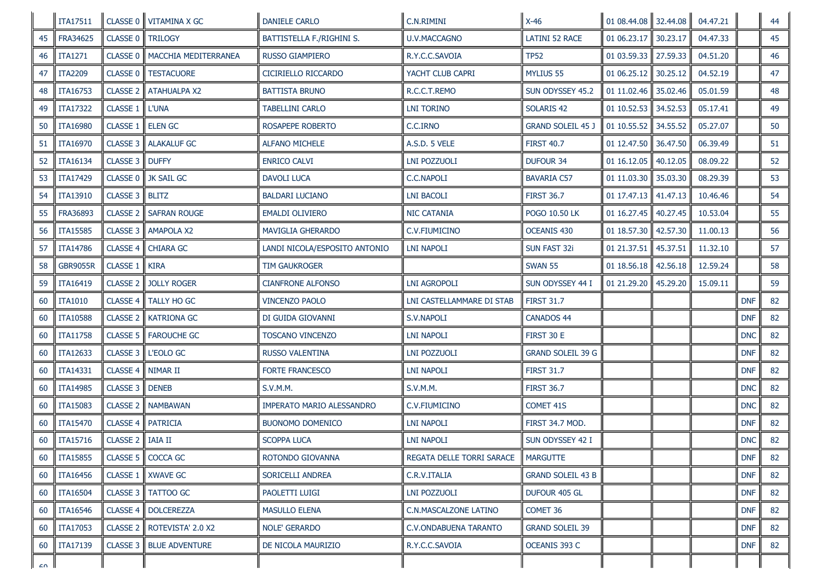|            | ITA17511        |                 | CLASSE 0 VITAMINA X GC | <b>DANIELE CARLO</b>          | C.N.RIMINI                | $X-46$                   | 01 08.44.08 32.44.08 |          | 04.47.21 |            | 44 |
|------------|-----------------|-----------------|------------------------|-------------------------------|---------------------------|--------------------------|----------------------|----------|----------|------------|----|
| 45         | FRA34625        | CLASSE 0        | <b>TRILOGY</b>         | BATTISTELLA F./RIGHINI S.     | <b>U.V.MACCAGNO</b>       | <b>LATINI 52 RACE</b>    | 01 06.23.17          | 30.23.17 | 04.47.33 |            | 45 |
| 46         | <b>ITA1271</b>  | CLASSE 0        | MACCHIA MEDITERRANEA   | RUSSO GIAMPIERO               | R.Y.C.C.SAVOIA            | <b>TP52</b>              | 01 03.59.33          | 27.59.33 | 04.51.20 |            | 46 |
| 47         | <b>ITA2209</b>  | <b>CLASSE 0</b> | <b>TESTACUORE</b>      | CICIRIELLO RICCARDO           | YACHT CLUB CAPRI          | <b>MYLIUS 55</b>         | 01 06.25.12          | 30.25.12 | 04.52.19 |            | 47 |
| 48         | ITA16753        | <b>CLASSE 2</b> | <b>ATAHUALPA X2</b>    | <b>BATTISTA BRUNO</b>         | R.C.C.T.REMO              | SUN ODYSSEY 45.2         | 01 11.02.46          | 35.02.46 | 05.01.59 |            | 48 |
| 49         | <b>ITA17322</b> | CLASSE 1        | <b>L'UNA</b>           | TABELLINI CARLO               | <b>LNI TORINO</b>         | SOLARIS 42               | 01 10.52.53          | 34.52.53 | 05.17.41 |            | 49 |
| 50         | <b>ITA16980</b> | CLASSE 1        | <b>ELEN GC</b>         | ROSAPEPE ROBERTO              | C.C.IRNO                  | <b>GRAND SOLEIL 45 J</b> | 01 10.55.52          | 34.55.52 | 05.27.07 |            | 50 |
| 51         | <b>ITA16970</b> | <b>CLASSE 3</b> | <b>ALAKALUF GC</b>     | <b>ALFANO MICHELE</b>         | A.S.D. 5 VELE             | <b>FIRST 40.7</b>        | 01 12.47.50          | 36.47.50 | 06.39.49 |            | 51 |
| 52         | ITA16134        | CLASSE 3        | <b>DUFFY</b>           | <b>ENRICO CALVI</b>           | <b>LNI POZZUOLI</b>       | <b>DUFOUR 34</b>         | 01 16.12.05          | 40.12.05 | 08.09.22 |            | 52 |
| 53         | ITA17429        | <b>CLASSE 0</b> | JK SAIL GC             | <b>DAVOLI LUCA</b>            | C.C.NAPOLI                | Bavaria C57              | 01 11.03.30          | 35.03.30 | 08.29.39 |            | 53 |
| 54         | <b>ITA13910</b> | CLASSE 3        | <b>BLITZ</b>           | <b>BALDARI LUCIANO</b>        | <b>LNI BACOLI</b>         | <b>FIRST 36.7</b>        | 01 17.47.13          | 41.47.13 | 10.46.46 |            | 54 |
| 55         | <b>FRA36893</b> | <b>CLASSE 2</b> | <b>SAFRAN ROUGE</b>    | <b>EMALDI OLIVIERO</b>        | NIC CATANIA               | POGO 10.50 LK            | 01 16.27.45          | 40.27.45 | 10.53.04 |            | 55 |
| 56         | <b>ITA15585</b> | CLASSE 3        | <b>AMAPOLA X2</b>      | <b>MAVIGLIA GHERARDO</b>      | C.V.FIUMICINO             | OCEANIS 430              | 01 18.57.30          | 42.57.30 | 11.00.13 |            | 56 |
| 57         | <b>ITA14786</b> | <b>CLASSE 4</b> | <b>CHIARA GC</b>       | LANDI NICOLA/ESPOSITO ANTONIO | <b>LNI NAPOLI</b>         | <b>SUN FAST 32i</b>      | 01 21.37.51          | 45.37.51 | 11.32.10 |            | 57 |
| 58         | <b>GBR9055R</b> | <b>CLASSE 1</b> | <b>KIRA</b>            | TIM GAUKROGER                 |                           | <b>SWAN 55</b>           | 01 18.56.18          | 42.56.18 | 12.59.24 |            | 58 |
| 59         | <b>ITA16419</b> | <b>CLASSE 2</b> | <b>JOLLY ROGER</b>     | <b>CIANFRONE ALFONSO</b>      | <b>LNI AGROPOLI</b>       | SUN ODYSSEY 44 I         | 01 21.29.20          | 45.29.20 | 15.09.11 |            | 59 |
| 60         | <b>ITA1010</b>  | CLASSE 4        | TALLY HO GC            | <b>VINCENZO PAOLO</b>         | LNI CASTELLAMMARE DI STAB | <b>FIRST 31.7</b>        |                      |          |          | <b>DNF</b> | 82 |
| 60         | <b>ITA10588</b> | <b>CLASSE 2</b> | <b>KATRIONA GC</b>     | DI GUIDA GIOVANNI             | S.V.NAPOLI                | CANADOS 44               |                      |          |          | <b>DNF</b> | 82 |
| 60         | <b>ITA11758</b> | CLASSE 5        | <b>FAROUCHE GC</b>     | <b>TOSCANO VINCENZO</b>       | <b>LNI NAPOLI</b>         | FIRST 30 E               |                      |          |          | <b>DNC</b> | 82 |
| 60         | ITA12633        | CLASSE 3        | L'EOLO GC              | RUSSO VALENTINA               | LNI POZZUOLI              | <b>GRAND SOLEIL 39 G</b> |                      |          |          | <b>DNF</b> | 82 |
| 60         | ITA14331        | CLASSE 4        | NIMAR II               | <b>FORTE FRANCESCO</b>        | <b>LNI NAPOLI</b>         | <b>FIRST 31.7</b>        |                      |          |          | <b>DNF</b> | 82 |
| 60         | <b>ITA14985</b> | CLASSE 3        | <b>DENEB</b>           | S.V.M.M.                      | <b>S.V.M.M.</b>           | <b>FIRST 36.7</b>        |                      |          |          | <b>DNC</b> | 82 |
| 60         | <b>ITA15083</b> | <b>CLASSE 2</b> | <b>NAMBAWAN</b>        | IMPERATO MARIO ALESSANDRO     | C.V.FIUMICINO             | COMET 41S                |                      |          |          | <b>DNC</b> | 82 |
| 60         | <b>ITA15470</b> | CLASSE 4        | <b>PATRICIA</b>        | <b>BUONOMO DOMENICO</b>       | <b>LNI NAPOLI</b>         | FIRST 34.7 MOD.          |                      |          |          | <b>DNF</b> | 82 |
| 60         | <b>ITA15716</b> | CLASSE 2        | <b>IAIA II</b>         | <b>SCOPPA LUCA</b>            | <b>LNI NAPOLI</b>         | SUN ODYSSEY 42 I         |                      |          |          | <b>DNC</b> | 82 |
| 60         | <b>ITA15855</b> |                 | CLASSE 5   COCCA GC    | ROTONDO GIOVANNA              | REGATA DELLE TORRI SARACE | <b>MARGUTTE</b>          |                      |          |          | <b>DNF</b> | 82 |
| 60         | <b>ITA16456</b> | <b>CLASSE 1</b> | <b>XWAVE GC</b>        | SORICELLI ANDREA              | C.R.V.ITALIA              | <b>GRAND SOLEIL 43 B</b> |                      |          |          | <b>DNF</b> | 82 |
| 60         | <b>ITA16504</b> | CLASSE 3        | <b>TATTOO GC</b>       | PAOLETTI LUIGI                | lni pozzuoli              | DUFOUR 405 GL            |                      |          |          | <b>DNF</b> | 82 |
| 60         | <b>ITA16546</b> | <b>CLASSE 4</b> | <b>DOLCEREZZA</b>      | <b>MASULLO ELENA</b>          | C.N.MASCALZONE LATINO     | COMET 36                 |                      |          |          | <b>DNF</b> | 82 |
| 60         | <b>ITA17053</b> | CLASSE 2        | ROTEVISTA' 2.0 X2      | <b>NOLE' GERARDO</b>          | C.V.ONDABUENA TARANTO     | <b>GRAND SOLEIL 39</b>   |                      |          |          | <b>DNF</b> | 82 |
| 60         | ITA17139        | CLASSE 3        | <b>BLUE ADVENTURE</b>  | DE NICOLA MAURIZIO            | R.Y.C.C.SAVOIA            | OCEANIS 393 C            |                      |          |          | <b>DNF</b> | 82 |
| $\sqrt{2}$ |                 |                 |                        |                               |                           |                          |                      |          |          |            |    |